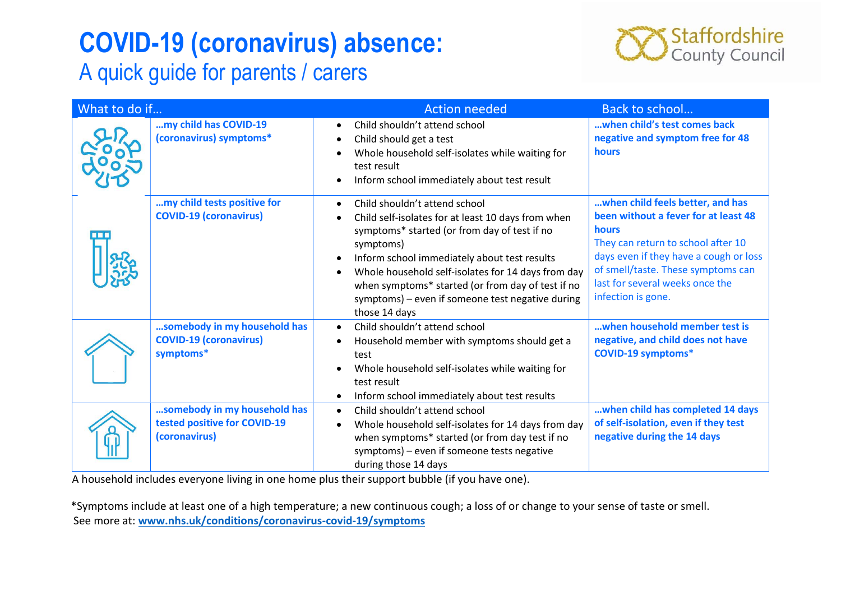## COVID-19 (coronavirus) absence:

## A quick guide for parents / carers



| What to do if |                                                                               | <b>Action needed</b>                                                                                                                                                                                                                                                                                                                                                                                                                 | Back to school                                                                                                                                                                                                                                                   |
|---------------|-------------------------------------------------------------------------------|--------------------------------------------------------------------------------------------------------------------------------------------------------------------------------------------------------------------------------------------------------------------------------------------------------------------------------------------------------------------------------------------------------------------------------------|------------------------------------------------------------------------------------------------------------------------------------------------------------------------------------------------------------------------------------------------------------------|
|               | my child has COVID-19<br>(coronavirus) symptoms*                              | Child shouldn't attend school<br>$\bullet$<br>Child should get a test<br>$\bullet$<br>Whole household self-isolates while waiting for<br>٠<br>test result<br>Inform school immediately about test result<br>$\bullet$                                                                                                                                                                                                                | when child's test comes back<br>negative and symptom free for 48<br><b>hours</b>                                                                                                                                                                                 |
|               | my child tests positive for<br><b>COVID-19 (coronavirus)</b>                  | Child shouldn't attend school<br>$\bullet$<br>Child self-isolates for at least 10 days from when<br>$\bullet$<br>symptoms* started (or from day of test if no<br>symptoms)<br>Inform school immediately about test results<br>$\bullet$<br>Whole household self-isolates for 14 days from day<br>$\bullet$<br>when symptoms* started (or from day of test if no<br>symptoms) - even if someone test negative during<br>those 14 days | when child feels better, and has<br>been without a fever for at least 48<br>hours<br>They can return to school after 10<br>days even if they have a cough or loss<br>of smell/taste. These symptoms can<br>last for several weeks once the<br>infection is gone. |
|               | somebody in my household has<br><b>COVID-19 (coronavirus)</b><br>symptoms*    | Child shouldn't attend school<br>$\bullet$<br>Household member with symptoms should get a<br>$\bullet$<br>test<br>Whole household self-isolates while waiting for<br>$\bullet$<br>test result<br>Inform school immediately about test results<br>$\bullet$                                                                                                                                                                           | when household member test is<br>negative, and child does not have<br><b>COVID-19 symptoms*</b>                                                                                                                                                                  |
|               | somebody in my household has<br>tested positive for COVID-19<br>(coronavirus) | Child shouldn't attend school<br>$\bullet$<br>Whole household self-isolates for 14 days from day<br>$\bullet$<br>when symptoms* started (or from day test if no<br>symptoms) - even if someone tests negative<br>during those 14 days                                                                                                                                                                                                | when child has completed 14 days<br>of self-isolation, even if they test<br>negative during the 14 days                                                                                                                                                          |

A household includes everyone living in one home plus their support bubble (if you have one).

\*Symptoms include at least one of a high temperature; a new continuous cough; a loss of or change to your sense of taste or smell. See more at: www.nhs.uk/conditions/coronavirus-covid-19/symptoms